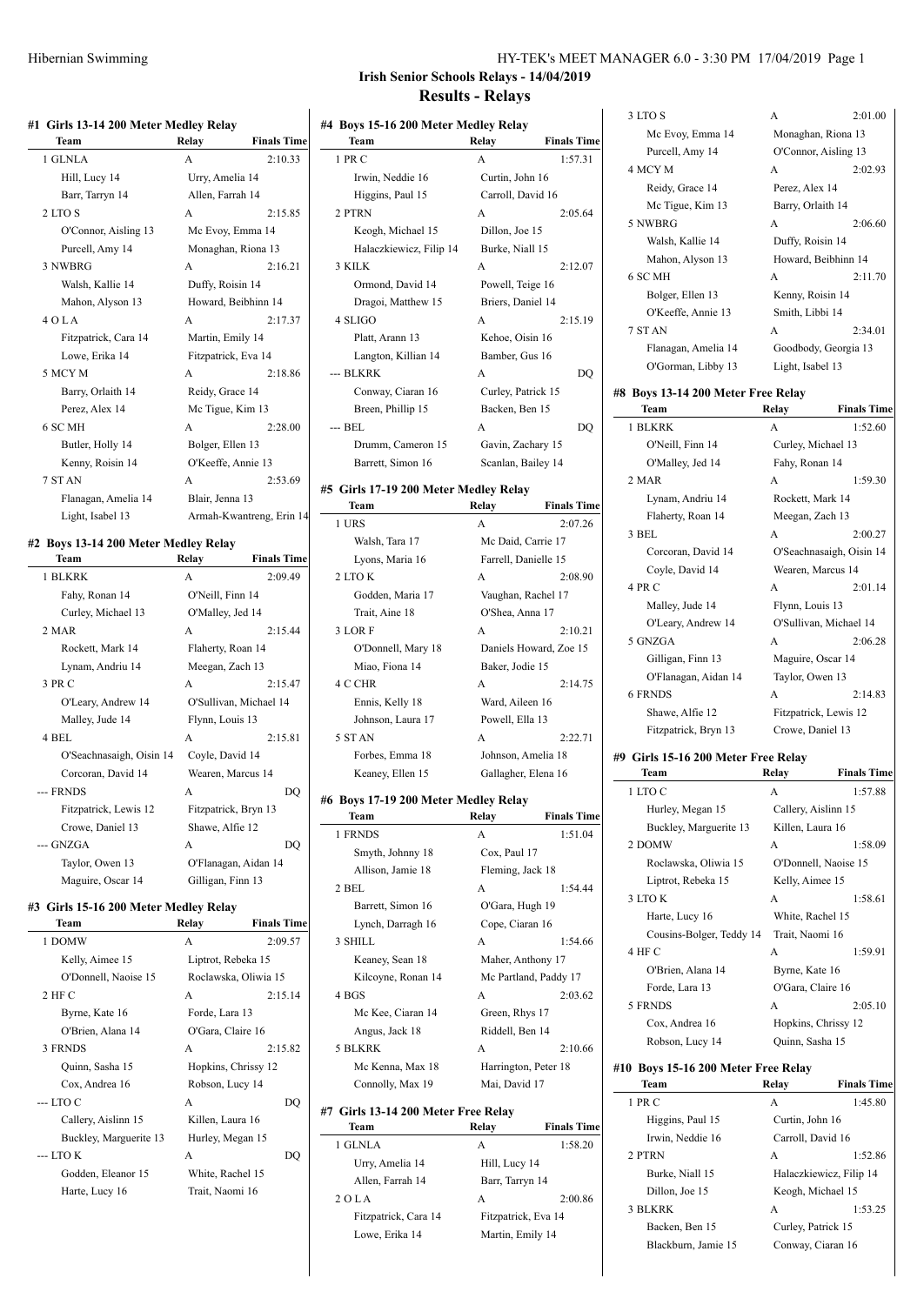| #1 Girls 13-14 200 Meter Medley Relay |                  |                          |  |
|---------------------------------------|------------------|--------------------------|--|
| Team                                  | Relay            | <b>Finals Time</b>       |  |
| 1 GLNLA                               | $\mathsf{A}$     | 2:10.33                  |  |
| Hill, Lucy 14                         | Urry, Amelia 14  |                          |  |
| Barr, Tarryn 14                       | Allen, Farrah 14 |                          |  |
| 2 LTO S                               | $\mathsf{A}$     | 2:15.85                  |  |
| O'Connor, Aisling 13                  |                  | Mc Evoy, Emma 14         |  |
| Purcell, Amy 14                       |                  | Monaghan, Riona 13       |  |
| 3 NWBRG                               | $\mathsf{A}$     | 2:16.21                  |  |
| Walsh, Kallie 14                      | Duffy, Roisin 14 |                          |  |
| Mahon, Alyson 13                      |                  | Howard, Beibhinn 14      |  |
| $4$ O L A                             | $\mathsf{A}$     | 2:17.37                  |  |
| Fitzpatrick, Cara 14                  | Martin, Emily 14 |                          |  |
| Lowe, Erika 14                        |                  | Fitzpatrick, Eva 14      |  |
| 5 MCY M                               | A                | 2:18.86                  |  |
| Barry, Orlaith 14                     | Reidy, Grace 14  |                          |  |
| Perez, Alex 14                        | Mc Tigue, Kim 13 |                          |  |
| 6 SC MH                               | $\overline{A}$   | 2:28.00                  |  |
| Butler, Holly 14                      | Bolger, Ellen 13 |                          |  |
| Kenny, Roisin 14                      |                  | O'Keeffe, Annie 13       |  |
| 7 ST AN                               | A                | 2:53.69                  |  |
| Flanagan, Amelia 14                   | Blair, Jenna 13  |                          |  |
| Light, Isabel 13                      |                  | Armah-Kwantreng, Erin 14 |  |
|                                       |                  |                          |  |

# **#2 Boys 13-14 200 Meter Medley Relay**

| Team                     | Relay                | <b>Finals Time</b>     |  |
|--------------------------|----------------------|------------------------|--|
| 1 BLKRK                  | A                    | 2:09.49                |  |
| Fahy, Ronan 14           | O'Neill, Finn 14     |                        |  |
| Curley, Michael 13       | O'Malley, Jed 14     |                        |  |
| 2 MAR                    | $\mathsf{A}$         | 2:15.44                |  |
| Rockett, Mark 14         |                      | Flaherty, Roan 14      |  |
| Lynam, Andriu 14         | Meegan, Zach 13      |                        |  |
| 3 PR C                   | A                    | 2:15.47                |  |
| O'Leary, Andrew 14       |                      | O'Sullivan, Michael 14 |  |
| Malley, Jude 14          | Flynn, Louis 13      |                        |  |
| 4 BEL                    | A                    | 2:15.81                |  |
| O'Seachnasaigh, Oisin 14 | Coyle, David 14      |                        |  |
| Corcoran, David 14       | Wearen, Marcus 14    |                        |  |
| --- FRNDS                | A                    | DO                     |  |
| Fitzpatrick, Lewis 12    | Fitzpatrick, Bryn 13 |                        |  |
| Crowe, Daniel 13         | Shawe, Alfie 12      |                        |  |
| --- GNZGA                | A                    | DO                     |  |
| Taylor, Owen 13          | O'Flanagan, Aidan 14 |                        |  |
| Maguire, Oscar 14        | Gilligan, Finn 13    |                        |  |

#### **#3 Girls 15-16 200 Meter Medley Relay**

| Team                   | Relay                | <b>Finals Time</b> |
|------------------------|----------------------|--------------------|
| 1 DOMW                 | A                    | 2:09.57            |
| Kelly, Aimee 15        | Liptrot, Rebeka 15   |                    |
| O'Donnell, Naoise 15   | Roclawska, Oliwia 15 |                    |
| $2$ HF C               | A                    | 2:15.14            |
| Byrne, Kate 16         | Forde, Lara 13       |                    |
| O'Brien, Alana 14      | O'Gara, Claire 16    |                    |
| 3 FRNDS                | 2:15.82<br>A         |                    |
| Quinn, Sasha 15        | Hopkins, Chrissy 12  |                    |
| Cox, Andrea 16         | Robson, Lucy 14      |                    |
| $-$ LTO C              | A                    | DO                 |
| Callery, Aislinn 15    | Killen, Laura 16     |                    |
| Buckley, Marguerite 13 | Hurley, Megan 15     |                    |
| $-$ LTO K              | $\mathsf{A}$         | DO                 |
| Godden, Eleanor 15     | White, Rachel 15     |                    |
| Harte, Lucy 16         | Trait, Naomi 16      |                    |
|                        |                      |                    |

### HY-TEK's MEET MANAGER 6.0 - 3:30 PM 17/04/2019 Page 1 **Irish Senior Schools Relays - 14/04/2019**

# **Results - Relays**

| #4 Boys 15-16 200 Meter Medley Relay<br>Team | Relay                | <b>Finals Time</b>            |
|----------------------------------------------|----------------------|-------------------------------|
| 1 PR C                                       | А                    | 1:57.31                       |
| Irwin, Neddie 16                             | Curtin, John 16      |                               |
| Higgins, Paul 15                             | Carroll, David 16    |                               |
| 2 PTRN                                       | А                    | 2:05.64                       |
| Keogh, Michael 15                            | Dillon, Joe 15       |                               |
| Halaczkiewicz, Filip 14                      | Burke, Niall 15      |                               |
| 3 KILK                                       | А                    | 2:12.07                       |
| Ormond, David 14                             | Powell, Teige 16     |                               |
| Dragoi, Matthew 15                           | Briers, Daniel 14    |                               |
| 4 SLIGO                                      | А                    | 2:15.19                       |
| Platt, Arann 13                              | Kehoe, Oisin 16      |                               |
| Langton, Killian 14                          | Bamber, Gus 16       |                               |
| --- BLKRK                                    | А                    | DQ                            |
| Conway, Ciaran 16                            | Curley, Patrick 15   |                               |
| Breen, Phillip 15                            | Backen, Ben 15       |                               |
| --- BEL                                      | A                    | DO                            |
| Drumm, Cameron 15                            | Gavin, Zachary 15    |                               |
| Barrett, Simon 16                            | Scanlan, Bailey 14   |                               |
| #5 Girls 17-19 200 Meter Medley Relay        |                      |                               |
| Team                                         | Relay                | <b>Finals Time</b>            |
| 1 URS                                        | А                    | 2:07.26                       |
| Walsh, Tara 17                               | Mc Daid, Carrie 17   |                               |
| Lyons, Maria 16                              | Farrell, Danielle 15 |                               |
| 2 LTO K                                      | A                    | 2:08.90                       |
| Godden, Maria 17                             | Vaughan, Rachel 17   |                               |
| Trait, Aine 18                               | O'Shea, Anna 17      |                               |
| 3 LOR F                                      | А                    | 2:10.21                       |
| O'Donnell, Mary 18                           |                      | Daniels Howard, Zoe 15        |
| Miao, Fiona 14                               | Baker, Jodie 15      |                               |
| 4 C CHR                                      | А                    | 2:14.75                       |
| Ennis, Kelly 18                              | Ward, Aileen 16      |                               |
| Johnson, Laura 17                            | Powell, Ella 13      |                               |
| 5 ST AN                                      | А                    | 2:22.71                       |
| Forbes, Emma 18                              | Johnson, Amelia 18   |                               |
| Keaney, Ellen 15                             | Gallagher, Elena 16  |                               |
| #6 Boys 17-19 200 Meter Medley Relay         |                      |                               |
| Team<br>1 FRNDS                              | Relay                | <b>Finals Time</b><br>1:51.04 |
|                                              | А                    |                               |
| Smyth, Johnny 18                             | Cox, Paul 17         |                               |
| Allison, Jamie 18                            | Fleming, Jack 18     |                               |
| 2 BEL                                        | А                    | 1:54.44                       |
| Barrett, Simon 16                            | O'Gara, Hugh 19      |                               |
| Lynch, Darragh 16                            | Cope, Ciaran 16      |                               |
| 3 SHILL                                      | А                    | 1:54.66                       |
| Keaney, Sean 18                              | Maher, Anthony 17    |                               |
| Kilcoyne, Ronan 14                           |                      | Mc Partland, Paddy 17         |
| 4 BGS                                        | А                    | 2:03.62                       |
| Mc Kee, Ciaran 14                            | Green, Rhys 17       |                               |
| Angus, Jack 18                               | Riddell, Ben 14      |                               |
| 5 BLKRK                                      | А                    | 2:10.66                       |
| Mc Kenna, Max 18                             | Harrington, Peter 18 |                               |
| Connolly, Max 19                             | Mai, David 17        |                               |
| #7 Girls 13-14 200 Meter Free Relay<br>Team  | Relay                | <b>Finals Time</b>            |

 $\mathbf{r}$ 

| 1 GLNLA              | A                   | 1:58.20 |
|----------------------|---------------------|---------|
| Urry, Amelia 14      | Hill, Lucy 14       |         |
| Allen, Farrah 14     | Barr, Tarryn 14     |         |
| 2 OLA                | A                   | 2:00.86 |
| Fitzpatrick, Cara 14 | Fitzpatrick, Eva 14 |         |
| Lowe, Erika 14       | Martin, Emily 14    |         |
|                      |                     |         |

| Reidy, Grace 14                    | Perez, Alex 14      |                          |
|------------------------------------|---------------------|--------------------------|
| Mc Tigue, Kim 13                   | Barry, Orlaith 14   |                          |
| 5 NWBRG                            | A                   | 2:06.60                  |
| Walsh, Kallie 14                   | Duffy, Roisin 14    |                          |
| Mahon, Alyson 13                   | Howard, Beibhinn 14 |                          |
| 6 SC MH                            | A                   | 2:11.70                  |
| Bolger, Ellen 13                   | Kenny, Roisin 14    |                          |
| O'Keeffe, Annie 13                 | Smith, Libbi 14     |                          |
| 7 STAN                             | A                   | 2:34.01                  |
| Flanagan, Amelia 14                |                     | Goodbody, Georgia 13     |
| O'Gorman, Libby 13                 | Light, Isabel 13    |                          |
| #8 Boys 13-14 200 Meter Free Relay |                     |                          |
| Team                               | Relay               | <b>Finals Time</b>       |
| 1 BLKRK                            | A                   | 1:52.60                  |
| O'Neill, Finn 14                   | Curley, Michael 13  |                          |
| O'Malley, Jed 14                   | Fahy, Ronan 14      |                          |
| 2 MAR                              | A                   | 1:59.30                  |
| Lynam, Andriu 14                   | Rockett, Mark 14    |                          |
| Flaherty, Roan 14                  | Meegan, Zach 13     |                          |
| 3 BEL                              | A                   | 2:00.27                  |
| Corcoran, David 14                 |                     | O'Seachnasaigh, Oisin 14 |
| Coyle, David 14                    | Wearen, Marcus 14   |                          |
| 4 PR C                             | A                   | 2:01.14                  |
| Malley, Jude 14                    | Flynn, Louis 13     |                          |
| O'Leary, Andrew 14                 |                     | O'Sullivan, Michael 14   |
| 5 GNZGA                            | A                   | 2:06.28                  |
| Gilligan, Finn 13                  | Maguire, Oscar 14   |                          |
| O'Flanagan, Aidan 14               | Taylor, Owen 13     |                          |
| <b>6 FRNDS</b>                     | А                   | 2:14.83                  |
|                                    |                     |                          |

3 LTO S A 2:01.00 Mc Evoy, Emma 14 Monaghan, Riona 13 Purcell, Amy 14 O'Connor, Aisling 13 4 MCY M A 2:02.93

# Shawe, Alfie 12 Fitzpatrick, Lewis 12 Fitzpatrick, Bryn 13 Crowe, Daniel 13

# **#9 Girls 15-16 200 Meter Free Relay**

| Team                                | Relay                | <b>Finals Time</b> |
|-------------------------------------|----------------------|--------------------|
| 1 LTO C                             | A                    | 1:57.88            |
| Hurley, Megan 15                    | Callery, Aislinn 15  |                    |
| Buckley, Marguerite 13              | Killen, Laura 16     |                    |
| 2 DOMW                              | $\mathsf{A}$         | 1:58.09            |
| Roclawska, Oliwia 15                | O'Donnell, Naoise 15 |                    |
| Liptrot, Rebeka 15                  | Kelly, Aimee 15      |                    |
| 3 LTO K                             | A                    | 1:58.61            |
| Harte, Lucy 16                      | White, Rachel 15     |                    |
| Cousins-Bolger, Teddy 14            | Trait, Naomi 16      |                    |
| 4 HF C                              | $\mathsf{A}$         | 1:59.91            |
| O'Brien, Alana 14                   | Byrne, Kate 16       |                    |
| Forde, Lara 13                      | O'Gara, Claire 16    |                    |
| 5 FRNDS                             | A                    | 2:05.10            |
| Cox, Andrea 16                      | Hopkins, Chrissy 12  |                    |
| Robson, Lucy 14                     | Quinn, Sasha 15      |                    |
| #10 Boys 15-16 200 Meter Free Relay |                      |                    |

# **Team Relay Finals Time** 1 PR C A 1:45.80 Higgins, Paul 15 Curtin, John 16 Irwin, Neddie 16 Carroll, David 16 2 PTRN A 1:52.86 Burke, Niall 15 Halaczkiewicz, Filip 14 Dillon, Joe 15 Keogh, Michael 15 3 BLKRK A 1:53.25 Backen, Ben 15 Curley, Patrick 15 Blackburn, Jamie 15 Conway, Ciaran 16